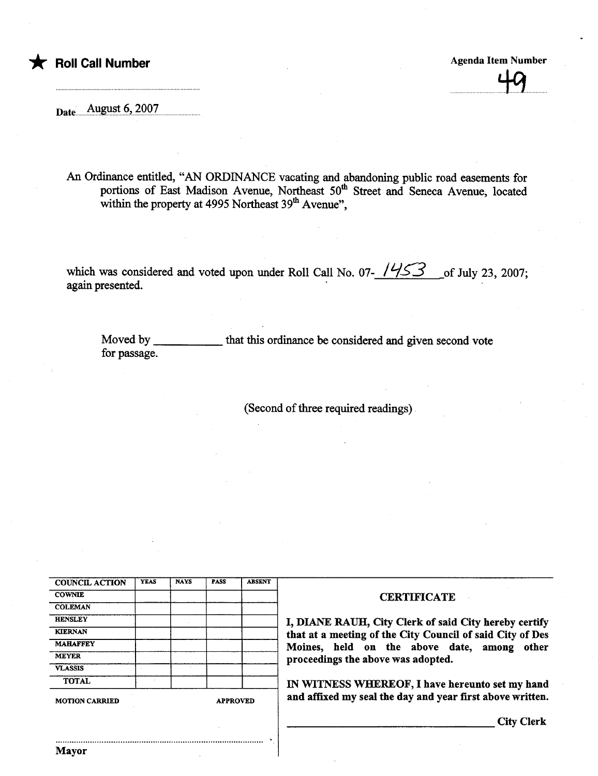## t Roll Call Number Agenda Item Number Agenda Item Number

49

Date...August  $6,2007$ 

An Ordiance entitled, "AN ORDINANCE vacating and abandonig public road easements for portions of East Madison Avenue, Northeast 50<sup>th</sup> Street and Seneca Avenue, located within the property at  $4995$  Northeast  $39<sup>th</sup>$  Avenue".

which was considered and voted upon under Roll Call No. 07- $\frac{1453}{100}$  of July 23, 2007; again presented.

Moved by \_ for passage. that this ordinance be considered and given second vote

.

(Second of three required readings).

| <b>COUNCIL ACTION</b> | <b>YEAS</b> | <b>NAYS</b> | <b>PASS</b> | <b>ABSENT</b> |
|-----------------------|-------------|-------------|-------------|---------------|
| <b>COWNIE</b>         |             |             |             |               |
| <b>COLEMAN</b>        |             |             |             |               |
| <b>HENSLEY</b>        |             |             |             |               |
| <b>KIERNAN</b>        |             |             |             |               |
| <b>MAHAFFEY</b>       |             |             |             |               |
| <b>MEYER</b>          |             |             |             |               |
| <b>VLASSIS</b>        |             |             |             |               |
| <b>TOTAL</b>          |             |             |             |               |

## **CERTIFICATE**

I, DIANE RAUH, City Clerk of said City hereby certify that at a meeting of the City Council of said City of Des Moines, held on the above date, among other proceedings the above was adopted.

IN WITNESS WHEREOF, I have hereunto set my hand MOTION CARRIED APPROVED **and affixed my seal the day and year first above written.** 

City Clerk

..........................................................................................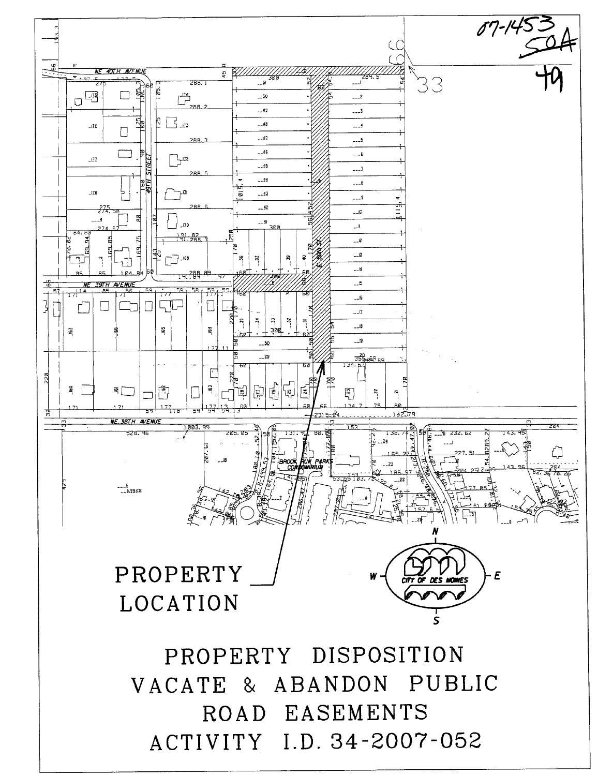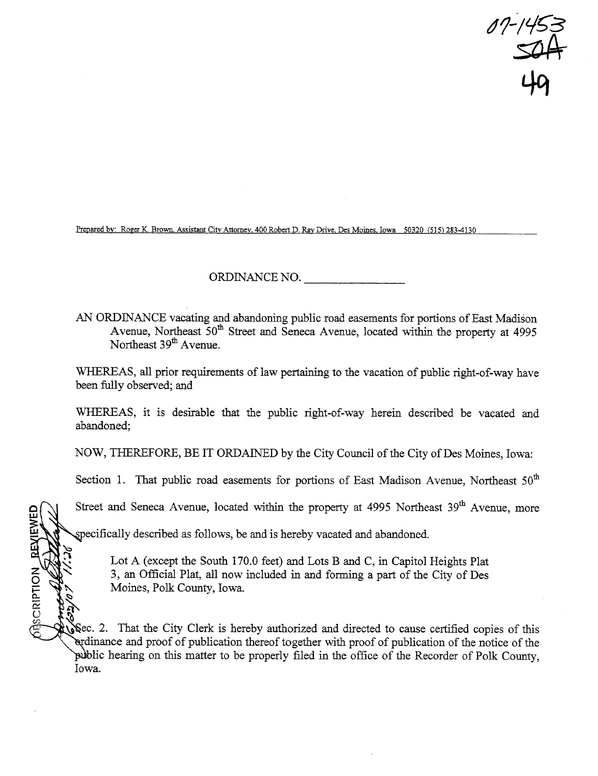0'/-/45 <del>~</del>  $-145$ <br> $504$ 49

Prepared by: Roger K. Brown. Assistant City Attorney. 400 Robert D. Ray Drive. Des Moines. Iowa 50320 (515) 283-4130

ORDINANCE NO.

AN ORDINANCE vacating and abandonig public road easements for portons of East Madison Avenue, Northeast  $50<sup>th</sup>$  Street and Seneca Avenue, located within the property at 4995 Northeast 39<sup>th</sup> Avenue.

WHEREAS, all prior requirements of law pertaining to the vacation of public right-of-way have been fully observed; and

WHEREAS, it is desirable that the public right-of-way herein described be vacated and abandoned;

NOW, THEREFORE, BE IT ORDAINED by the City Council of the City of Des Moines, Iowa:

Section 1. That public road easements for portions of East Madison Avenue, Northeast  $50<sup>th</sup>$ 

Street and Seneca Avenue, located within the property at 4995 Northeast 39<sup>th</sup> Avenue, more

ecifically described as follows, be and is hereby vacated and abandoned.

~<br>~<br>~

**BEVIEWEIVE** 

Lot A (except the South 170.0 feet) and Lots B and C, in Capitol Heights Plat 3, an Official Plat, all now included in and forming a part of the City of Des Moines, Polk County, Iowa.

~ Sec. 2. That the City Clerk is hereby authorized and directed to cause certified copies of this dinance and proof of publication thereof together with proof of publication of the notice of the public hearing on this matter to be properly filed in the office of the Recorder of Polk County, Iowa.